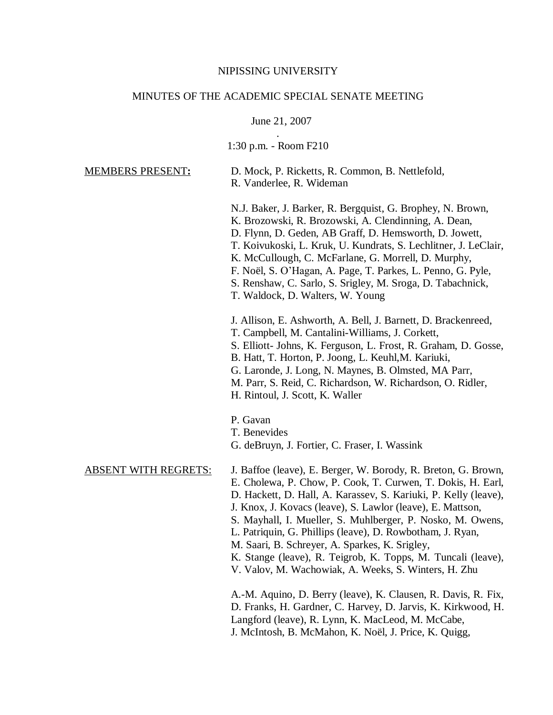#### NIPISSING UNIVERSITY

#### MINUTES OF THE ACADEMIC SPECIAL SENATE MEETING

June 21, 2007

. 1:30 p.m. - Room F210

| <b>MEMBERS PRESENT:</b> | D. Mock, P. Ricketts, R. Common, B. Nettlefold, |
|-------------------------|-------------------------------------------------|
|                         | R. Vanderlee, R. Wideman                        |

N.J. Baker, J. Barker, R. Bergquist, G. Brophey, N. Brown, K. Brozowski, R. Brozowski, A. Clendinning, A. Dean, D. Flynn, D. Geden, AB Graff, D. Hemsworth, D. Jowett, T. Koivukoski, L. Kruk, U. Kundrats, S. Lechlitner, J. LeClair, K. McCullough, C. McFarlane, G. Morrell, D. Murphy, F. Noël, S. O'Hagan, A. Page, T. Parkes, L. Penno, G. Pyle, S. Renshaw, C. Sarlo, S. Srigley, M. Sroga, D. Tabachnick, T. Waldock, D. Walters, W. Young

J. Allison, E. Ashworth, A. Bell, J. Barnett, D. Brackenreed, T. Campbell, M. Cantalini-Williams, J. Corkett, S. Elliott- Johns, K. Ferguson, L. Frost, R. Graham, D. Gosse, B. Hatt, T. Horton, P. Joong, L. Keuhl,M. Kariuki, G. Laronde, J. Long, N. Maynes, B. Olmsted, MA Parr, M. Parr, S. Reid, C. Richardson, W. Richardson, O. Ridler, H. Rintoul, J. Scott, K. Waller

- P. Gavan
- T. Benevides
- G. deBruyn, J. Fortier, C. Fraser, I. Wassink

- ABSENT WITH REGRETS: J. Baffoe (leave), E. Berger, W. Borody, R. Breton, G. Brown, E. Cholewa, P. Chow, P. Cook, T. Curwen, T. Dokis, H. Earl, D. Hackett, D. Hall, A. Karassev, S. Kariuki, P. Kelly (leave), J. Knox, J. Kovacs (leave), S. Lawlor (leave), E. Mattson, S. Mayhall, I. Mueller, S. Muhlberger, P. Nosko, M. Owens,
	- L. Patriquin, G. Phillips (leave), D. Rowbotham, J. Ryan,
	- M. Saari, B. Schreyer, A. Sparkes, K. Srigley,
	- K. Stange (leave), R. Teigrob, K. Topps, M. Tuncali (leave),
	- V. Valov, M. Wachowiak, A. Weeks, S. Winters, H. Zhu

A.-M. Aquino, D. Berry (leave), K. Clausen, R. Davis, R. Fix, D. Franks, H. Gardner, C. Harvey, D. Jarvis, K. Kirkwood, H. Langford (leave), R. Lynn, K. MacLeod, M. McCabe, J. McIntosh, B. McMahon, K. Noël, J. Price, K. Quigg,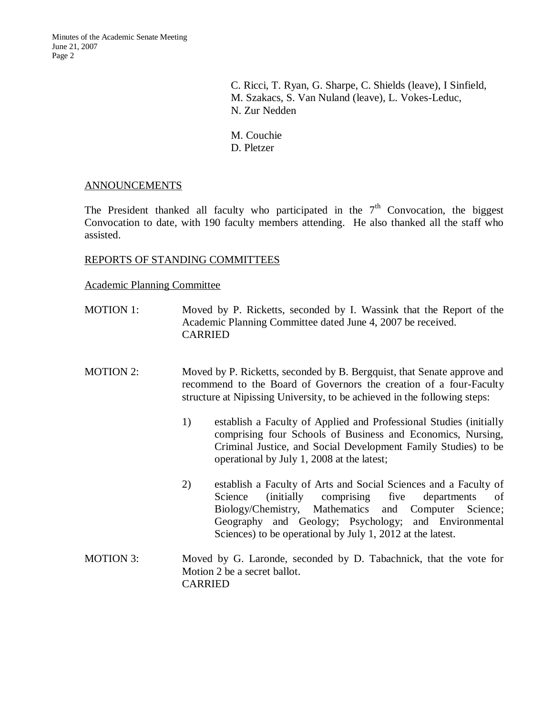C. Ricci, T. Ryan, G. Sharpe, C. Shields (leave), I Sinfield, M. Szakacs, S. Van Nuland (leave), L. Vokes-Leduc, N. Zur Nedden

M. Couchie D. Pletzer

### ANNOUNCEMENTS

The President thanked all faculty who participated in the  $7<sup>th</sup>$  Convocation, the biggest Convocation to date, with 190 faculty members attending. He also thanked all the staff who assisted.

### REPORTS OF STANDING COMMITTEES

### Academic Planning Committee

- MOTION 1: Moved by P. Ricketts, seconded by I. Wassink that the Report of the Academic Planning Committee dated June 4, 2007 be received. CARRIED
- MOTION 2: Moved by P. Ricketts, seconded by B. Bergquist, that Senate approve and recommend to the Board of Governors the creation of a four-Faculty structure at Nipissing University, to be achieved in the following steps:
	- 1) establish a Faculty of Applied and Professional Studies (initially comprising four Schools of Business and Economics, Nursing, Criminal Justice, and Social Development Family Studies) to be operational by July 1, 2008 at the latest;
	- 2) establish a Faculty of Arts and Social Sciences and a Faculty of Science (initially comprising five departments of Biology/Chemistry, Mathematics and Computer Science; Geography and Geology; Psychology; and Environmental Sciences) to be operational by July 1, 2012 at the latest.
- MOTION 3: Moved by G. Laronde, seconded by D. Tabachnick, that the vote for Motion 2 be a secret ballot. CARRIED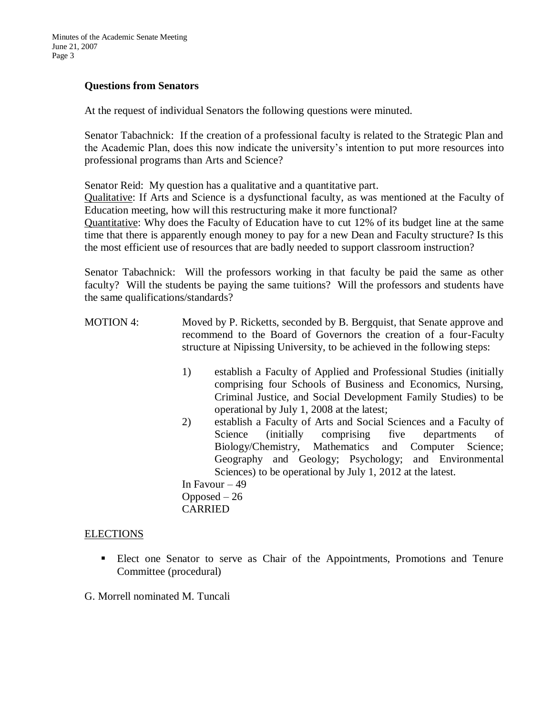### **Questions from Senators**

At the request of individual Senators the following questions were minuted.

Senator Tabachnick: If the creation of a professional faculty is related to the Strategic Plan and the Academic Plan, does this now indicate the university's intention to put more resources into professional programs than Arts and Science?

Senator Reid: My question has a qualitative and a quantitative part.

Qualitative: If Arts and Science is a dysfunctional faculty, as was mentioned at the Faculty of Education meeting, how will this restructuring make it more functional?

Quantitative: Why does the Faculty of Education have to cut 12% of its budget line at the same time that there is apparently enough money to pay for a new Dean and Faculty structure? Is this the most efficient use of resources that are badly needed to support classroom instruction?

Senator Tabachnick: Will the professors working in that faculty be paid the same as other faculty? Will the students be paying the same tuitions? Will the professors and students have the same qualifications/standards?

- MOTION 4: Moved by P. Ricketts, seconded by B. Bergquist, that Senate approve and recommend to the Board of Governors the creation of a four-Faculty structure at Nipissing University, to be achieved in the following steps:
	- 1) establish a Faculty of Applied and Professional Studies (initially comprising four Schools of Business and Economics, Nursing, Criminal Justice, and Social Development Family Studies) to be operational by July 1, 2008 at the latest;
	- 2) establish a Faculty of Arts and Social Sciences and a Faculty of Science (initially comprising five departments of Biology/Chemistry, Mathematics and Computer Science; Geography and Geology; Psychology; and Environmental Sciences) to be operational by July 1, 2012 at the latest.

In Favour  $-49$ Opposed  $-26$ CARRIED

### ELECTIONS

 Elect one Senator to serve as Chair of the Appointments, Promotions and Tenure Committee (procedural)

G. Morrell nominated M. Tuncali